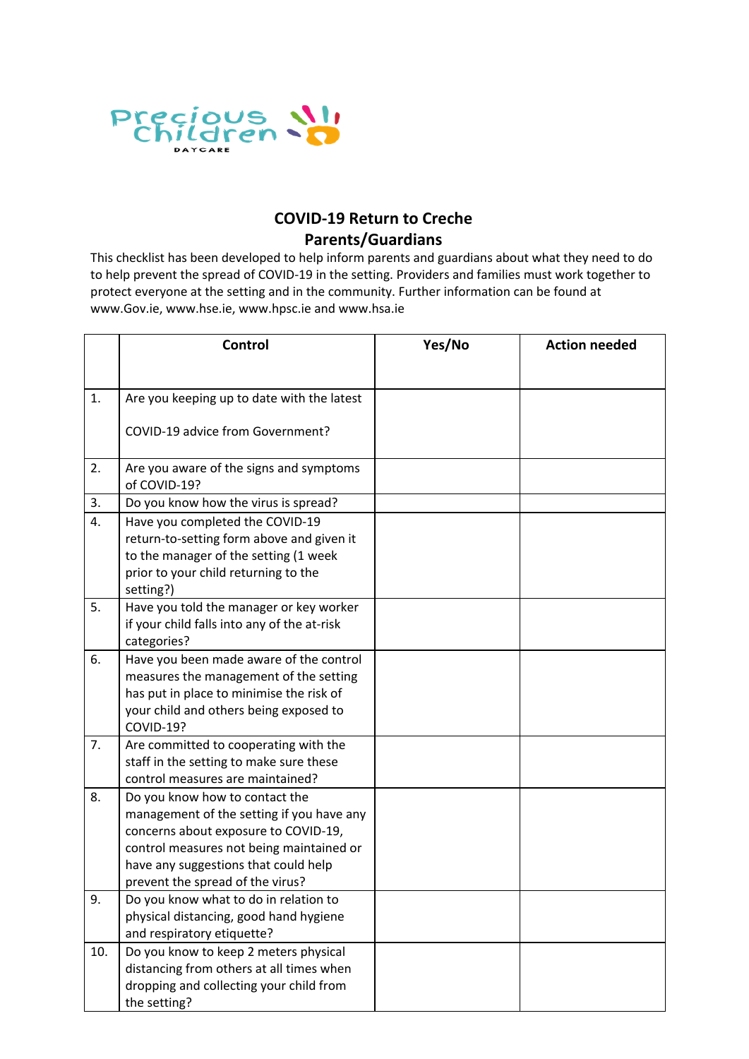

## **COVID-19 Return to Creche Parents/Guardians**

This checklist has been developed to help inform parents and guardians about what they need to do to help prevent the spread of COVID-19 in the setting. Providers and families must work together to protect everyone at the setting and in the community. Further information can be found at www.Gov.ie, www.hse.ie, www.hpsc.ie and www.hsa.ie

|     | Control                                                                            | Yes/No | <b>Action needed</b> |
|-----|------------------------------------------------------------------------------------|--------|----------------------|
|     |                                                                                    |        |                      |
| 1.  | Are you keeping up to date with the latest                                         |        |                      |
|     | COVID-19 advice from Government?                                                   |        |                      |
|     |                                                                                    |        |                      |
| 2.  | Are you aware of the signs and symptoms                                            |        |                      |
|     | of COVID-19?                                                                       |        |                      |
| 3.  | Do you know how the virus is spread?                                               |        |                      |
| 4.  | Have you completed the COVID-19                                                    |        |                      |
|     | return-to-setting form above and given it<br>to the manager of the setting (1 week |        |                      |
|     | prior to your child returning to the                                               |        |                      |
|     | setting?)                                                                          |        |                      |
| 5.  | Have you told the manager or key worker                                            |        |                      |
|     | if your child falls into any of the at-risk                                        |        |                      |
|     | categories?                                                                        |        |                      |
| 6.  | Have you been made aware of the control                                            |        |                      |
|     | measures the management of the setting                                             |        |                      |
|     | has put in place to minimise the risk of                                           |        |                      |
|     | your child and others being exposed to                                             |        |                      |
|     | COVID-19?                                                                          |        |                      |
| 7.  | Are committed to cooperating with the                                              |        |                      |
|     | staff in the setting to make sure these                                            |        |                      |
|     | control measures are maintained?                                                   |        |                      |
| 8.  | Do you know how to contact the                                                     |        |                      |
|     | management of the setting if you have any                                          |        |                      |
|     | concerns about exposure to COVID-19,<br>control measures not being maintained or   |        |                      |
|     | have any suggestions that could help                                               |        |                      |
|     | prevent the spread of the virus?                                                   |        |                      |
| 9.  | Do you know what to do in relation to                                              |        |                      |
|     | physical distancing, good hand hygiene                                             |        |                      |
|     | and respiratory etiquette?                                                         |        |                      |
| 10. | Do you know to keep 2 meters physical                                              |        |                      |
|     | distancing from others at all times when                                           |        |                      |
|     | dropping and collecting your child from                                            |        |                      |
|     | the setting?                                                                       |        |                      |